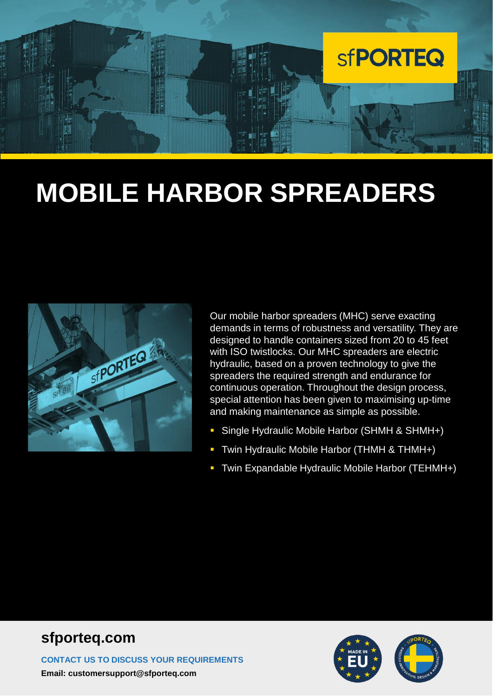

# **MOBILE HARBOR SPREADERS**



Our mobile harbor spreaders (MHC) serve exacting demands in terms of robustness and versatility. They are designed to handle containers sized from 20 to 45 feet with ISO twistlocks. Our MHC spreaders are electric hydraulic, based on a proven technology to give the spreaders the required strength and endurance for continuous operation. Throughout the design process, special attention has been given to maximising up-time and making maintenance as simple as possible.

- Single Hydraulic Mobile Harbor (SHMH & SHMH+)
- Twin Hydraulic Mobile Harbor (THMH & THMH+)
- Twin Expandable Hydraulic Mobile Harbor (TEHMH+)

#### **sfporteq.com**

**CONTACT US TO DISCUSS YOUR REQUIREMENTS Email: customersupport@sfporteq.com**

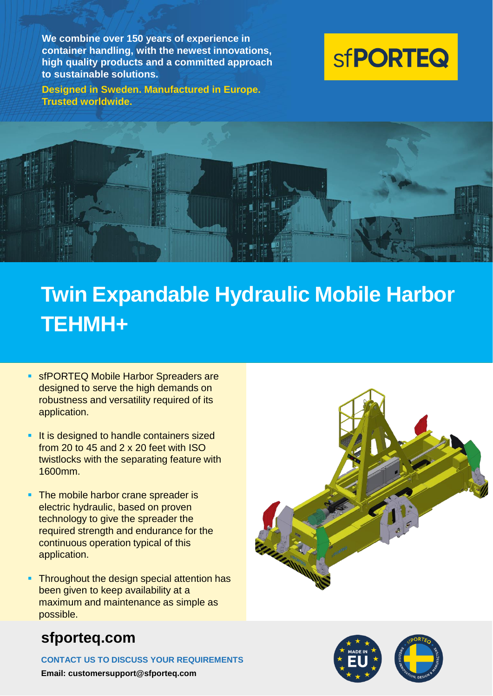**We combine over 150 years of experience in container handling, with the newest innovations, high quality products and a committed approach to sustainable solutions.**

**Designed in Sweden. Manufactured in Europe. Trusted worldwide.**





## **Twin Expandable Hydraulic Mobile Harbor TEHMH+**

- **EX SEPORTEQ Mobile Harbor Spreaders are** designed to serve the high demands on robustness and versatility required of its application.
- **EXTE:** It is designed to handle containers sized from 20 to 45 and 2 x 20 feet with ISO twistlocks with the separating feature with 1600mm.
- **The mobile harbor crane spreader is** electric hydraulic, based on proven technology to give the spreader the required strength and endurance for the continuous operation typical of this application.
- **Throughout the design special attention has** been given to keep availability at a maximum and maintenance as simple as possible.

#### **sfporteq.com**

**CONTACT US TO DISCUSS YOUR REQUIREMENTS**

**Email: customersupport@sfporteq.com**